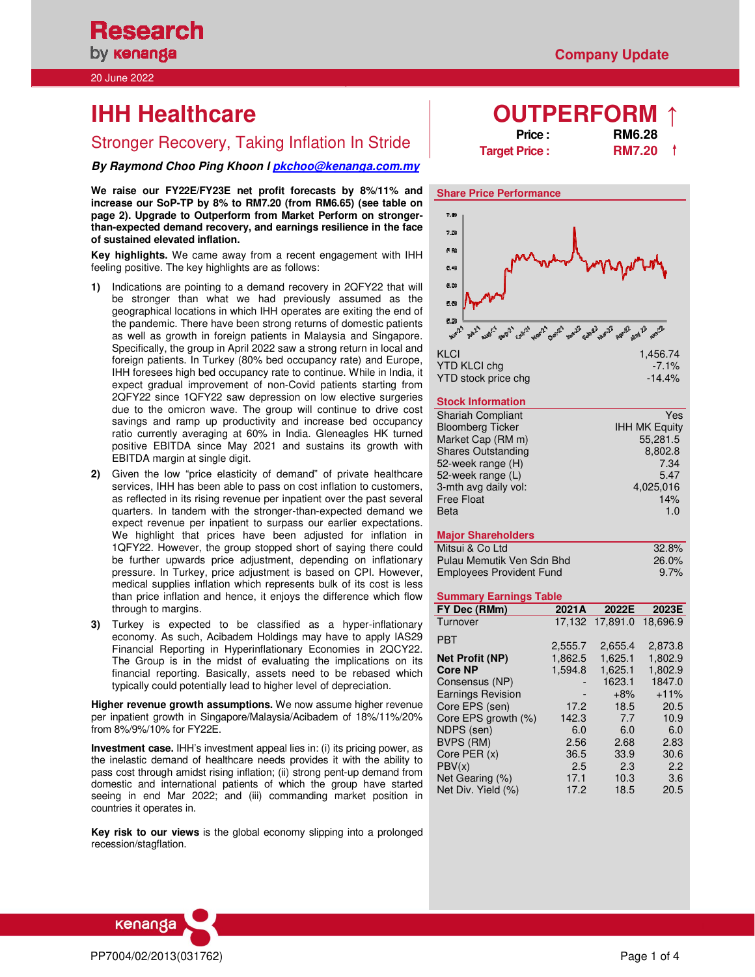**Research** by **kenanga** 

20 June 2022

# **IHH Healthcare**

# Stronger Recovery, Taking Inflation In Stride **Price Price Price Price RM7.20**

**By Raymond Choo Ping Khoon l pkchoo@kenanga.com.my** 

**We raise our FY22E/FY23E net profit forecasts by 8%/11% and increase our SoP-TP by 8% to RM7.20 (from RM6.65) (see table on page 2). Upgrade to Outperform from Market Perform on strongerthan-expected demand recovery, and earnings resilience in the face of sustained elevated inflation.** 

**Key highlights.** We came away from a recent engagement with IHH feeling positive. The key highlights are as follows:

- **1)** Indications are pointing to a demand recovery in 2QFY22 that will be stronger than what we had previously assumed as the geographical locations in which IHH operates are exiting the end of the pandemic. There have been strong returns of domestic patients as well as growth in foreign patients in Malaysia and Singapore. Specifically, the group in April 2022 saw a strong return in local and foreign patients. In Turkey (80% bed occupancy rate) and Europe, IHH foresees high bed occupancy rate to continue. While in India, it expect gradual improvement of non-Covid patients starting from 2QFY22 since 1QFY22 saw depression on low elective surgeries due to the omicron wave. The group will continue to drive cost savings and ramp up productivity and increase bed occupancy ratio currently averaging at 60% in India. Gleneagles HK turned positive EBITDA since May 2021 and sustains its growth with EBITDA margin at single digit.
- **2)** Given the low "price elasticity of demand" of private healthcare services, IHH has been able to pass on cost inflation to customers, as reflected in its rising revenue per inpatient over the past several quarters. In tandem with the stronger-than-expected demand we expect revenue per inpatient to surpass our earlier expectations. We highlight that prices have been adjusted for inflation in 1QFY22. However, the group stopped short of saying there could be further upwards price adjustment, depending on inflationary pressure. In Turkey, price adjustment is based on CPI. However, medical supplies inflation which represents bulk of its cost is less than price inflation and hence, it enjoys the difference which flow through to margins.
- **3)** Turkey is expected to be classified as a hyper-inflationary economy. As such, Acibadem Holdings may have to apply IAS29 Financial Reporting in Hyperinflationary Economies in 2QCY22. The Group is in the midst of evaluating the implications on its financial reporting. Basically, assets need to be rebased which typically could potentially lead to higher level of depreciation.

**Higher revenue growth assumptions.** We now assume higher revenue per inpatient growth in Singapore/Malaysia/Acibadem of 18%/11%/20% from 8%/9%/10% for FY22E.

**Investment case.** IHH's investment appeal lies in: (i) its pricing power, as the inelastic demand of healthcare needs provides it with the ability to pass cost through amidst rising inflation; (ii) strong pent-up demand from domestic and international patients of which the group have started seeing in end Mar 2022; and (iii) commanding market position in countries it operates in.

**Key risk to our views** is the global economy slipping into a prolonged recession/stagflation.

|         | <b>OUIPERFORM</b> 1 |
|---------|---------------------|
| Price : | <b>RM6.28</b>       |
|         |                     |







### **Stock Information**

| <b>Shariah Compliant</b>  | Yes                  |
|---------------------------|----------------------|
| <b>Bloomberg Ticker</b>   | <b>IHH MK Equity</b> |
| Market Cap (RM m)         | 55,281.5             |
| <b>Shares Outstanding</b> | 8,802.8              |
| 52-week range (H)         | 7.34                 |
| 52-week range (L)         | 5.47                 |
| 3-mth avg daily vol:      | 4.025.016            |
| <b>Free Float</b>         | 14%                  |
| Beta                      | 1.0                  |

### **Major Shareholders**

| Mitsui & Co Ltd                 | 32.8%    |
|---------------------------------|----------|
| Pulau Memutik Ven Sdn Bhd       | $26.0\%$ |
| <b>Employees Provident Fund</b> | $9.7\%$  |

### **Summary Earnings Table**

| FY Dec (RMm)             | 2021A   | 2022E    | 2023E    |
|--------------------------|---------|----------|----------|
| Turnover                 | 17.132  | 17.891.0 | 18.696.9 |
| <b>PBT</b>               |         |          |          |
|                          | 2,555.7 | 2.655.4  | 2,873.8  |
| <b>Net Profit (NP)</b>   | 1,862.5 | 1,625.1  | 1,802.9  |
| <b>Core NP</b>           | 1.594.8 | 1.625.1  | 1.802.9  |
| Consensus (NP)           |         | 1623.1   | 1847.0   |
| <b>Earnings Revision</b> |         | $+8%$    | $+11%$   |
| Core EPS (sen)           | 17.2    | 18.5     | 20.5     |
| Core EPS growth (%)      | 142.3   | 7.7      | 10.9     |
| NDPS (sen)               | 6.0     | 6.0      | 6.0      |
| BVPS (RM)                | 2.56    | 2.68     | 2.83     |
| Core PER (x)             | 36.5    | 33.9     | 30.6     |
| PBV(x)                   | 2.5     | 2.3      | 2.2      |
| Net Gearing (%)          | 17.1    | 10.3     | 3.6      |
| Net Div. Yield (%)       | 17.2    | 18.5     | 20.5     |

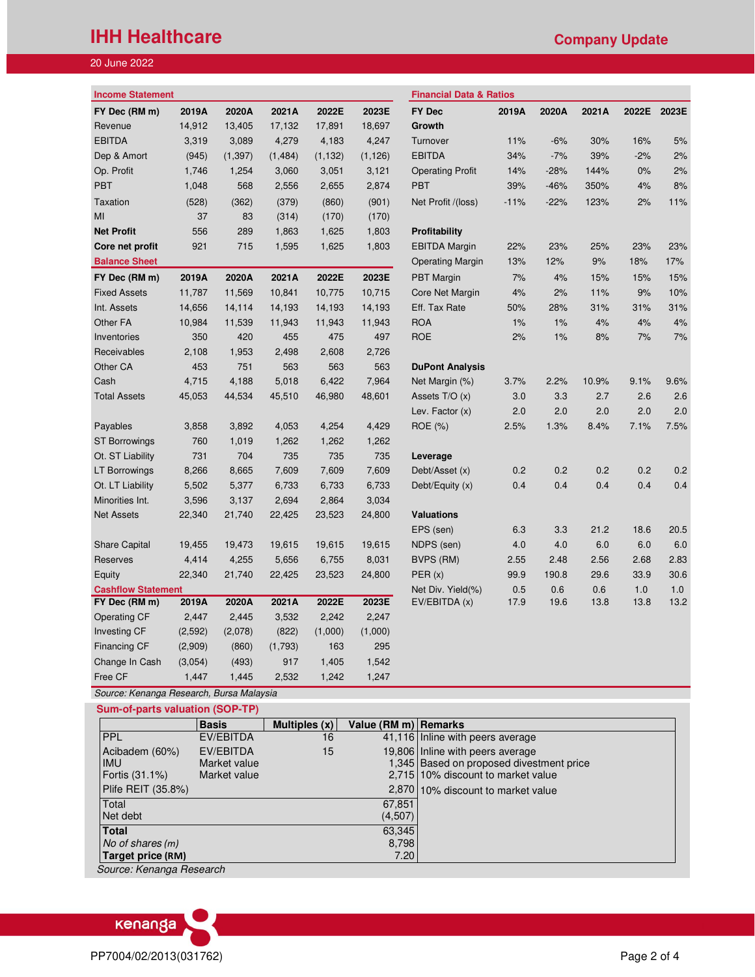# **IHH Healthcare Company Update**

### 20 June 2022

| <b>Income Statement</b>   |          |          |          |          |          | <b>Financial Data &amp; Ratios</b> |        |        |       |       |       |
|---------------------------|----------|----------|----------|----------|----------|------------------------------------|--------|--------|-------|-------|-------|
| FY Dec (RM m)             | 2019A    | 2020A    | 2021A    | 2022E    | 2023E    | <b>FY Dec</b>                      | 2019A  | 2020A  | 2021A | 2022E | 2023E |
| Revenue                   | 14,912   | 13,405   | 17,132   | 17,891   | 18,697   | Growth                             |        |        |       |       |       |
| <b>EBITDA</b>             | 3,319    | 3,089    | 4,279    | 4,183    | 4,247    | Turnover                           | 11%    | $-6%$  | 30%   | 16%   | 5%    |
| Dep & Amort               | (945)    | (1, 397) | (1, 484) | (1, 132) | (1, 126) | <b>EBITDA</b>                      | 34%    | $-7%$  | 39%   | $-2%$ | 2%    |
| Op. Profit                | 1,746    | 1,254    | 3,060    | 3,051    | 3,121    | <b>Operating Profit</b>            | 14%    | $-28%$ | 144%  | 0%    | 2%    |
| <b>PBT</b>                | 1,048    | 568      | 2,556    | 2,655    | 2,874    | <b>PBT</b>                         | 39%    | $-46%$ | 350%  | 4%    | 8%    |
| Taxation                  | (528)    | (362)    | (379)    | (860)    | (901)    | Net Profit /(loss)                 | $-11%$ | $-22%$ | 123%  | 2%    | 11%   |
| MI                        | 37       | 83       | (314)    | (170)    | (170)    |                                    |        |        |       |       |       |
| <b>Net Profit</b>         | 556      | 289      | 1,863    | 1,625    | 1,803    | Profitability                      |        |        |       |       |       |
| Core net profit           | 921      | 715      | 1,595    | 1,625    | 1,803    | <b>EBITDA Margin</b>               | 22%    | 23%    | 25%   | 23%   | 23%   |
| <b>Balance Sheet</b>      |          |          |          |          |          | <b>Operating Margin</b>            | 13%    | 12%    | $9%$  | 18%   | 17%   |
| FY Dec (RM m)             | 2019A    | 2020A    | 2021A    | 2022E    | 2023E    | <b>PBT</b> Margin                  | 7%     | 4%     | 15%   | 15%   | 15%   |
| <b>Fixed Assets</b>       | 11,787   | 11,569   | 10,841   | 10,775   | 10,715   | Core Net Margin                    | 4%     | 2%     | 11%   | 9%    | 10%   |
| Int. Assets               | 14,656   | 14,114   | 14,193   | 14,193   | 14,193   | Eff. Tax Rate                      | 50%    | 28%    | 31%   | 31%   | 31%   |
| Other FA                  | 10,984   | 11,539   | 11,943   | 11,943   | 11,943   | <b>ROA</b>                         | 1%     | 1%     | 4%    | 4%    | 4%    |
| Inventories               | 350      | 420      | 455      | 475      | 497      | <b>ROE</b>                         | 2%     | 1%     | 8%    | 7%    | 7%    |
| Receivables               | 2,108    | 1,953    | 2,498    | 2,608    | 2,726    |                                    |        |        |       |       |       |
| Other CA                  | 453      | 751      | 563      | 563      | 563      | <b>DuPont Analysis</b>             |        |        |       |       |       |
| Cash                      | 4,715    | 4,188    | 5,018    | 6,422    | 7,964    | Net Margin (%)                     | 3.7%   | 2.2%   | 10.9% | 9.1%  | 9.6%  |
| <b>Total Assets</b>       | 45,053   | 44,534   | 45,510   | 46,980   | 48,601   | Assets T/O (x)                     | 3.0    | 3.3    | 2.7   | 2.6   | 2.6   |
|                           |          |          |          |          |          | Lev. Factor (x)                    | 2.0    | 2.0    | 2.0   | 2.0   | 2.0   |
| Payables                  | 3,858    | 3,892    | 4,053    | 4,254    | 4,429    | ROE (%)                            | 2.5%   | 1.3%   | 8.4%  | 7.1%  | 7.5%  |
| <b>ST Borrowings</b>      | 760      | 1,019    | 1,262    | 1,262    | 1,262    |                                    |        |        |       |       |       |
| Ot. ST Liability          | 731      | 704      | 735      | 735      | 735      | Leverage                           |        |        |       |       |       |
| LT Borrowings             | 8,266    | 8,665    | 7,609    | 7,609    | 7,609    | Debt/Asset (x)                     | 0.2    | 0.2    | 0.2   | 0.2   | 0.2   |
| Ot. LT Liability          | 5,502    | 5,377    | 6,733    | 6,733    | 6,733    | Debt/Equity (x)                    | 0.4    | 0.4    | 0.4   | 0.4   | 0.4   |
| Minorities Int.           | 3,596    | 3,137    | 2,694    | 2,864    | 3,034    |                                    |        |        |       |       |       |
| <b>Net Assets</b>         | 22,340   | 21,740   | 22,425   | 23,523   | 24,800   | <b>Valuations</b>                  |        |        |       |       |       |
|                           |          |          |          |          |          | EPS (sen)                          | 6.3    | 3.3    | 21.2  | 18.6  | 20.5  |
| <b>Share Capital</b>      | 19,455   | 19,473   | 19,615   | 19,615   | 19,615   | NDPS (sen)                         | 4.0    | 4.0    | 6.0   | 6.0   | 6.0   |
| Reserves                  | 4,414    | 4,255    | 5,656    | 6,755    | 8,031    | BVPS (RM)                          | 2.55   | 2.48   | 2.56  | 2.68  | 2.83  |
| Equity                    | 22,340   | 21,740   | 22,425   | 23,523   | 24,800   | PER(x)                             | 99.9   | 190.8  | 29.6  | 33.9  | 30.6  |
| <b>Cashflow Statement</b> |          |          |          |          |          | Net Div. Yield(%)                  | 0.5    | 0.6    | 0.6   | 1.0   | 1.0   |
| FY Dec (RM m)             | 2019A    | 2020A    | 2021A    | 2022E    | 2023E    | EV/EBITDA (x)                      | 17.9   | 19.6   | 13.8  | 13.8  | 13.2  |
| <b>Operating CF</b>       | 2,447    | 2,445    | 3,532    | 2,242    | 2,247    |                                    |        |        |       |       |       |
| Investing CF              | (2, 592) | (2,078)  | (822)    | (1,000)  | (1,000)  |                                    |        |        |       |       |       |
| Financing CF              | (2,909)  | (860)    | (1,793)  | 163      | 295      |                                    |        |        |       |       |       |
| Change In Cash            | (3,054)  | (493)    | 917      | 1,405    | 1,542    |                                    |        |        |       |       |       |
| Free CF                   | 1,447    | 1,445    | 2,532    | 1,242    | 1,247    |                                    |        |        |       |       |       |

Source: Kenanga Research, Bursa Malaysia  **Sum-of-parts valuation (SOP-TP)**

|                    | <b>Basis</b> | Multiples $(x)$ | Value (RM m) Remarks |                                          |
|--------------------|--------------|-----------------|----------------------|------------------------------------------|
| PPL                | EV/EBITDA    | 16              |                      | 41,116 Inline with peers average         |
| Acibadem (60%)     | EV/EBITDA    | 15              |                      | 19,806 Inline with peers average         |
| <b>IMU</b>         | Market value |                 |                      | 1,345 Based on proposed divestment price |
| Fortis (31.1%)     | Market value |                 |                      | 2.715 10% discount to market value       |
| Plife REIT (35.8%) |              |                 |                      | 2,870 10% discount to market value       |
| Total              |              |                 | 67.851               |                                          |
| Net debt           |              |                 | (4,507)              |                                          |
| <b>Total</b>       |              |                 | 63,345               |                                          |
| No of shares (m)   |              |                 | 8,798                |                                          |
| Target price (RM)  |              |                 | 7.20                 |                                          |

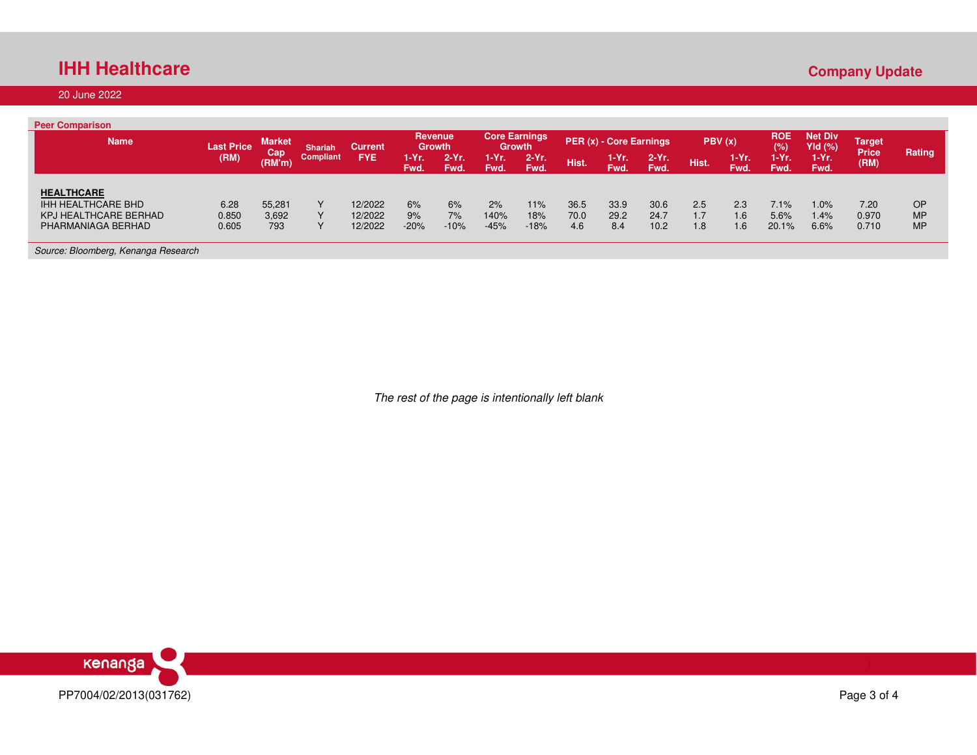## **IHH Healthcare**

### 20 June 2022

| <b>Peer Comparison</b>                      |                   |                      |                |                    |               |                          |                |                                |             |                         |                 |            |                     |                   |                             |                                     |                        |
|---------------------------------------------|-------------------|----------------------|----------------|--------------------|---------------|--------------------------|----------------|--------------------------------|-------------|-------------------------|-----------------|------------|---------------------|-------------------|-----------------------------|-------------------------------------|------------------------|
| <b>Name</b>                                 | <b>Last Price</b> | <b>Market</b><br>Cap | <b>Shariah</b> | <b>Current</b>     |               | Revenue<br><b>Growth</b> |                | <b>Core Earnings</b><br>Growth |             | PER (x) - Core Earnings |                 |            | PBV(x)              | <b>ROE</b><br>(%) | <b>Net Div</b><br>$Yld$ (%) | Target <sup>i</sup><br><b>Price</b> | Rating                 |
|                                             | (RM)              | (RM'm)               | Compliant      | <b>FYE</b>         | 1-Yr.<br>Fwd. | $2-Yr$ .<br>Fwd.         | 1-Yr.<br>Fwd.  | $2-Yr$ .<br>Fwd.               | Hist.       | 1-Yr.<br>Fwd.           | $2-Yr.$<br>Fwd. | Hist.      | 1-Yr.<br><b>Fwd</b> | 1-Yr.<br>Fwd.     | $1-Yr.$<br>Fwd.             | (RM)                                |                        |
| <b>HEALTHCARE</b>                           |                   |                      |                |                    |               |                          |                |                                |             |                         |                 |            |                     |                   |                             |                                     |                        |
| <b>IHH HEALTHCARE BHD</b>                   | 6.28              | 55,281               | $\mathbf{v}$   | 12/2022            | 6%            | 6%                       | 2%             | 11%                            | 36.5        | 33.9                    | 30.6            | 2.5        | 2.3                 | 7.1%              | 1.0%                        | 7.20                                | OP                     |
| KPJ HEALTHCARE BERHAD<br>PHARMANIAGA BERHAD | 0.850<br>0.605    | 3,692<br>793         |                | 12/2022<br>12/2022 | 9%<br>$-20%$  | 7%<br>$-10%$             | 140%<br>$-45%$ | 18%<br>$-18%$                  | 70.0<br>4.6 | 29.2<br>8.4             | 24.7<br>10.2    | 1.7<br>1.8 | 1.6<br>1.6          | 5.6%<br>20.1%     | 1.4%<br>6.6%                | 0.970<br>0.710                      | <b>MP</b><br><b>MP</b> |
|                                             |                   |                      |                |                    |               |                          |                |                                |             |                         |                 |            |                     |                   |                             |                                     |                        |
| Source: Bloomberg, Kenanga Research         |                   |                      |                |                    |               |                          |                |                                |             |                         |                 |            |                     |                   |                             |                                     |                        |

The rest of the page is intentionally left blank